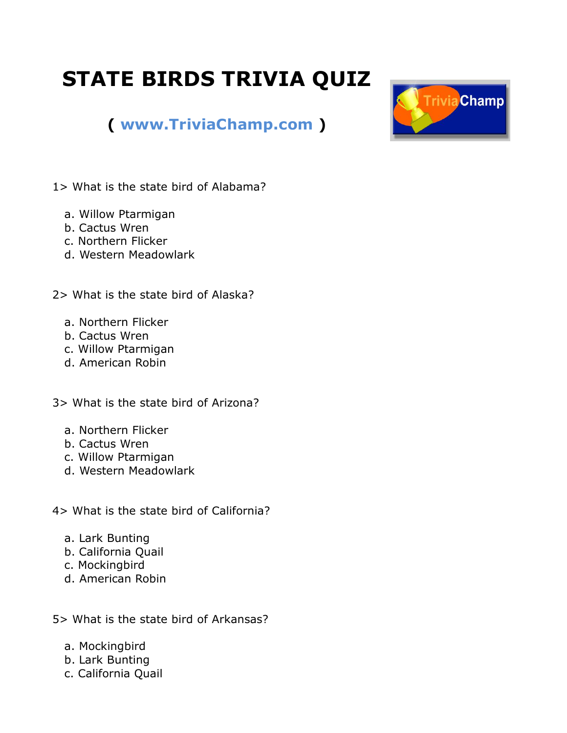## **STATE BIRDS TRIVIA QUIZ**



## **( [www.TriviaChamp.com](http://www.triviachamp.com/) )**

- 1> What is the state bird of Alabama?
	- a. Willow Ptarmigan
	- b. Cactus Wren
	- c. Northern Flicker
	- d. Western Meadowlark

2> What is the state bird of Alaska?

- a. Northern Flicker
- b. Cactus Wren
- c. Willow Ptarmigan
- d. American Robin

3> What is the state bird of Arizona?

- a. Northern Flicker
- b. Cactus Wren
- c. Willow Ptarmigan
- d. Western Meadowlark
- 4> What is the state bird of California?
	- a. Lark Bunting
	- b. California Quail
	- c. Mockingbird
	- d. American Robin
- 5> What is the state bird of Arkansas?
	- a. Mockingbird
	- b. Lark Bunting
	- c. California Quail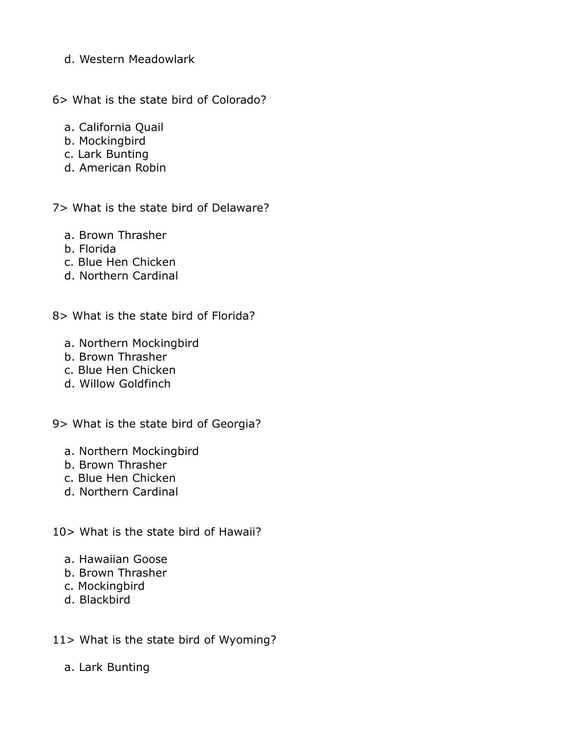- d. Western Meadowlark
- 6> What is the state bird of Colorado?
	- a. California Quail
	- b. Mockingbird
	- c. Lark Bunting
	- d. American Robin

7> What is the state bird of Delaware?

- a. Brown Thrasher
- b. Florida
- c. Blue Hen Chicken
- d. Northern Cardinal
- 8> What is the state bird of Florida?
	- a. Northern Mockingbird
	- b. Brown Thrasher
	- c. Blue Hen Chicken
	- d. Willow Goldfinch
- 9> What is the state bird of Georgia?
	- a. Northern Mockingbird
	- b. Brown Thrasher
	- c. Blue Hen Chicken
	- d. Northern Cardinal
- 10> What is the state bird of Hawaii?
	- a. Hawaiian Goose
	- b. Brown Thrasher
	- c. Mockingbird
	- d. Blackbird
- 11> What is the state bird of Wyoming?
	- a. Lark Bunting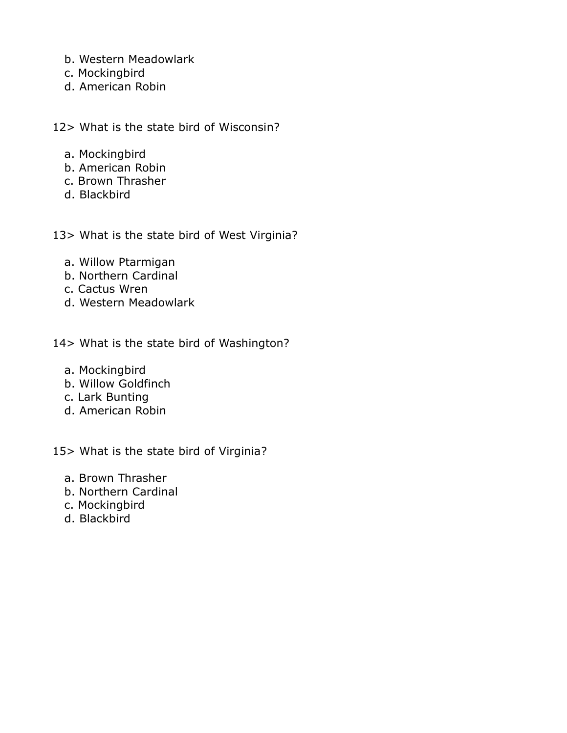- b. Western Meadowlark
- c. Mockingbird
- d. American Robin

12> What is the state bird of Wisconsin?

- a. Mockingbird
- b. American Robin
- c. Brown Thrasher
- d. Blackbird

13> What is the state bird of West Virginia?

- a. Willow Ptarmigan
- b. Northern Cardinal
- c. Cactus Wren
- d. Western Meadowlark

14> What is the state bird of Washington?

- a. Mockingbird
- b. Willow Goldfinch
- c. Lark Bunting
- d. American Robin

15> What is the state bird of Virginia?

- a. Brown Thrasher
- b. Northern Cardinal
- c. Mockingbird
- d. Blackbird